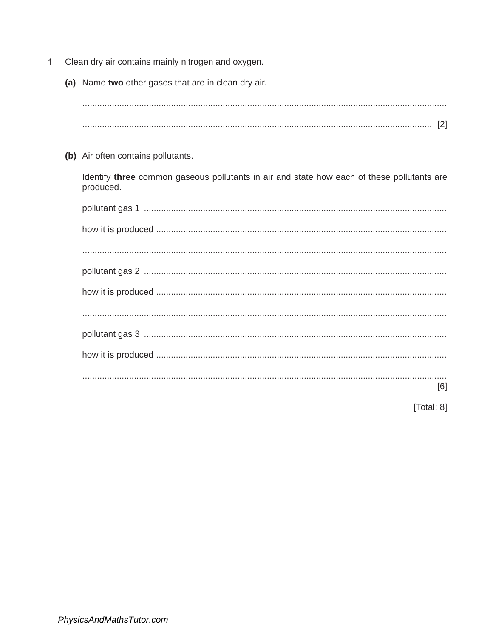- $\mathbf{1}$ Clean dry air contains mainly nitrogen and oxygen.
	- (a) Name two other gases that are in clean dry air.

(b) Air often contains pollutants.

Identify three common gaseous pollutants in air and state how each of these pollutants are produced.

| [6] |
|-----|

[Total: 8]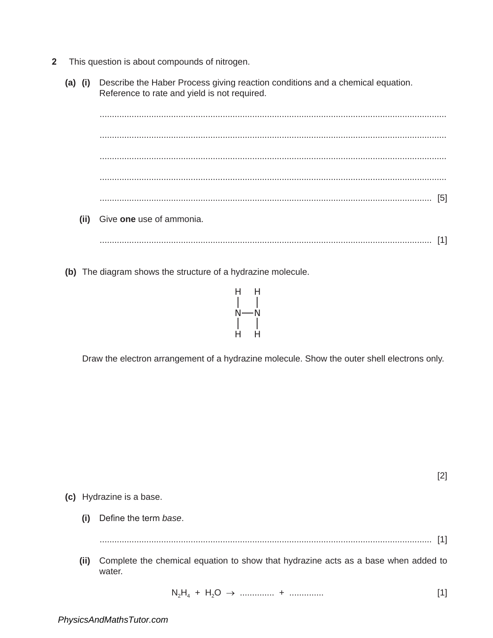- $\overline{2}$ This question is about compounds of nitrogen.
	- (a) (i) Describe the Haber Process giving reaction conditions and a chemical equation. Reference to rate and yield is not required.

(ii) Give one use of ammonia. 

(b) The diagram shows the structure of a hydrazine molecule.



Draw the electron arrangement of a hydrazine molecule. Show the outer shell electrons only.

(c) Hydrazine is a base.

(i) Define the term base.

(ii) Complete the chemical equation to show that hydrazine acts as a base when added to water.

> $N_2H_4 + H_2O \rightarrow$  ............... + ..............  $[1]$

 $[2]$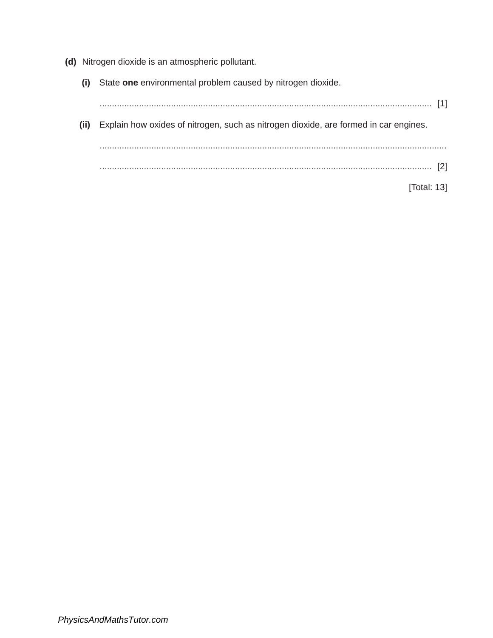- **(d)** Nitrogen dioxide is an atmospheric pollutant.
	- **(i)** State **one** environmental problem caused by nitrogen dioxide.

....................................................................................................................................... [1]

**(ii)** Explain how oxides of nitrogen, such as nitrogen dioxide, are formed in car engines.

 ............................................................................................................................................. ....................................................................................................................................... [2]

[Total: 13]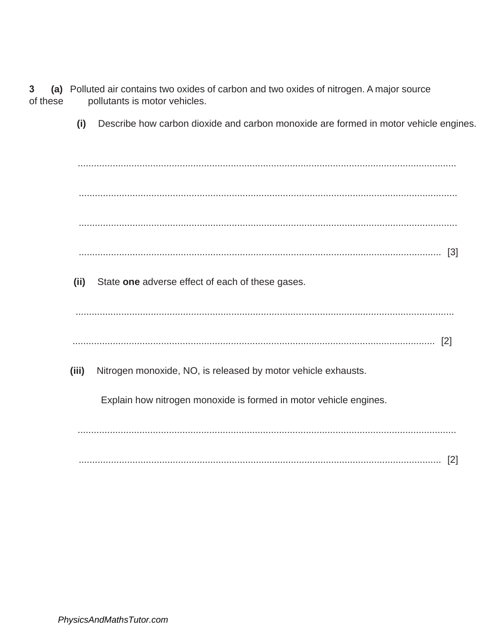(a) Polluted air contains two oxides of carbon and two oxides of nitrogen. A major source 3 pollutants is motor vehicles. of these

> Describe how carbon dioxide and carbon monoxide are formed in motor vehicle engines.  $(i)$

State one adverse effect of each of these gases.  $(ii)$ Nitrogen monoxide, NO, is released by motor vehicle exhausts.  $(iii)$ Explain how nitrogen monoxide is formed in motor vehicle engines.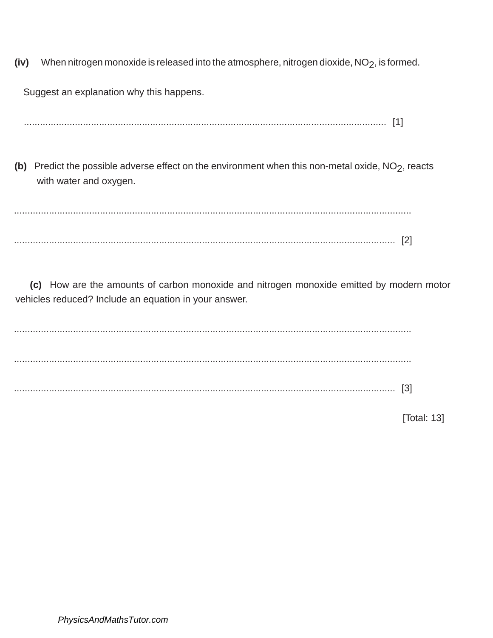When nitrogen monoxide is released into the atmosphere, nitrogen dioxide, NO<sub>2</sub>, is formed. (iv) Suggest an explanation why this happens. (b) Predict the possible adverse effect on the environment when this non-metal oxide,  $NO<sub>2</sub>$ , reacts with water and oxygen.

(c) How are the amounts of carbon monoxide and nitrogen monoxide emitted by modern motor vehicles reduced? Include an equation in your answer.

[Total: 13]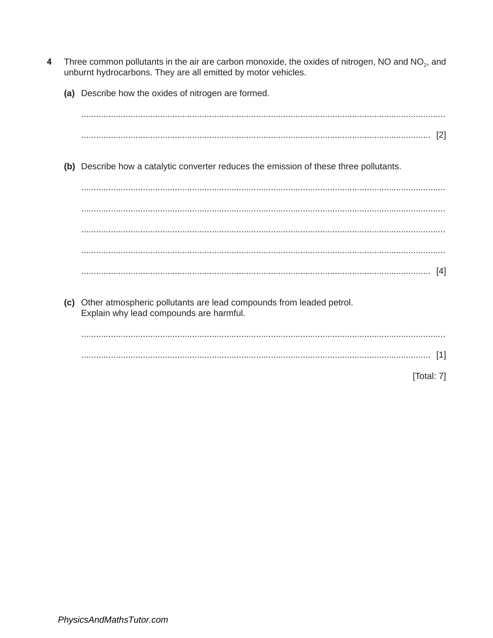- $\overline{\mathbf{4}}$ Three common pollutants in the air are carbon monoxide, the oxides of nitrogen, NO and  $NO<sub>2</sub>$ , and unburnt hydrocarbons. They are all emitted by motor vehicles.
	- (a) Describe how the oxides of nitrogen are formed.

(b) Describe how a catalytic converter reduces the emission of these three pollutants.

(c) Other atmospheric pollutants are lead compounds from leaded petrol. Explain why lead compounds are harmful.

[Total: 7]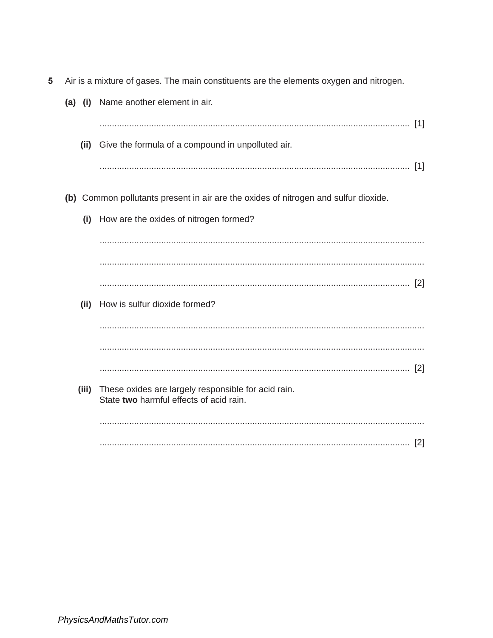| 5 | Air is a mixture of gases. The main constituents are the elements oxygen and nitrogen. |                                                                                                |  |
|---|----------------------------------------------------------------------------------------|------------------------------------------------------------------------------------------------|--|
|   | $(a)$ (i)                                                                              | Name another element in air.                                                                   |  |
|   |                                                                                        | $\lceil 1 \rceil$                                                                              |  |
|   | (ii)                                                                                   | Give the formula of a compound in unpolluted air.                                              |  |
|   |                                                                                        |                                                                                                |  |
|   |                                                                                        | (b) Common pollutants present in air are the oxides of nitrogen and sulfur dioxide.            |  |
|   | (i)                                                                                    | How are the oxides of nitrogen formed?                                                         |  |
|   |                                                                                        |                                                                                                |  |
|   |                                                                                        |                                                                                                |  |
|   |                                                                                        |                                                                                                |  |
|   | (ii)                                                                                   | How is sulfur dioxide formed?                                                                  |  |
|   |                                                                                        |                                                                                                |  |
|   |                                                                                        |                                                                                                |  |
|   |                                                                                        |                                                                                                |  |
|   | (iii)                                                                                  | These oxides are largely responsible for acid rain.<br>State two harmful effects of acid rain. |  |
|   |                                                                                        |                                                                                                |  |
|   |                                                                                        |                                                                                                |  |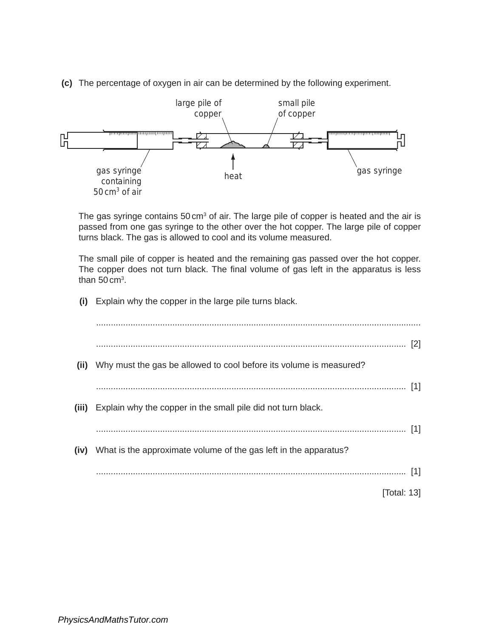**(c)** The percentage of oxygen in air can be determined by the following experiment.



The gas syringe contains 50 cm<sup>3</sup> of air. The large pile of copper is heated and the air is passed from one gas syringe to the other over the hot copper. The large pile of copper turns black. The gas is allowed to cool and its volume measured.

The small pile of copper is heated and the remaining gas passed over the hot copper. The copper does not turn black. The final volume of gas left in the apparatus is less than 50 cm<sup>3</sup>.

**(i)** Explain why the copper in the large pile turns black.

| (ii) | Why must the gas be allowed to cool before its volume is measured?    |  |
|------|-----------------------------------------------------------------------|--|
|      |                                                                       |  |
|      | (iii) Explain why the copper in the small pile did not turn black.    |  |
|      |                                                                       |  |
|      |                                                                       |  |
|      | (iv) What is the approximate volume of the gas left in the apparatus? |  |
|      | $[1]$                                                                 |  |
|      | [Total: 13]                                                           |  |
|      |                                                                       |  |